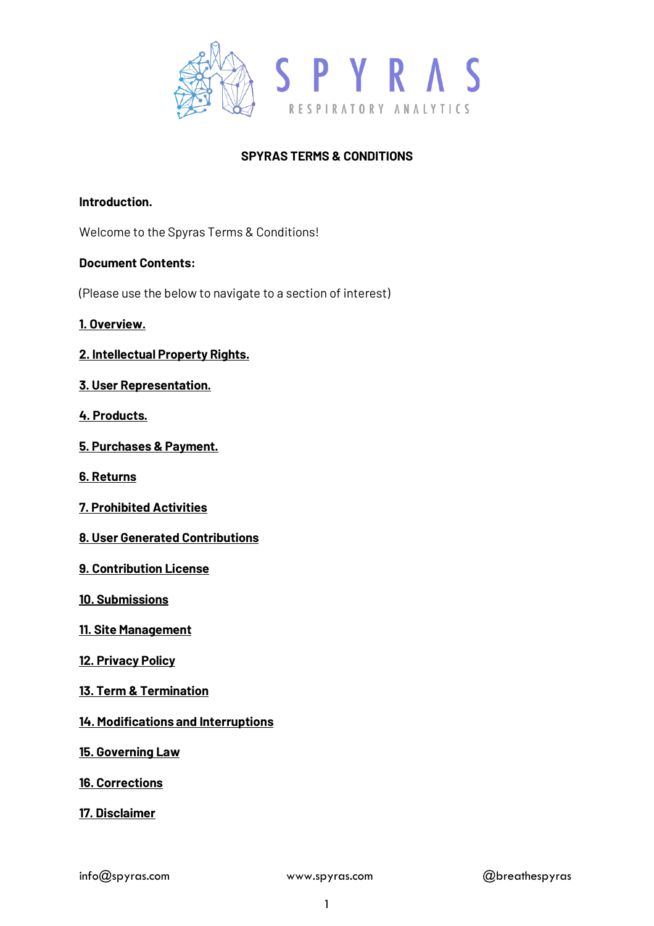

# **SPYRAS TERMS & CONDITIONS**

### **Introduction.**

Welcome to the Spyras Terms & Conditions!

### **Document Contents:**

(Please use the below to navigate to a section of interest)

### **1. Overview.**

- **2. Intellectual Property Rights.**
- **3. User Representation.**
- **4. Products.**
- **5. Purchases & Payment.**
- **6. Returns**
- **7. Prohibited Activities**
- **8. User Generated Contributions**
- **9. Contribution License**
- **10. Submissions**
- **11. Site Management**
- **12. Privacy Policy**
- **13. Term & Termination**
- **14. Modifications and Interruptions**
- **15. Governing Law**
- **16. Corrections**
- **17. Disclaimer**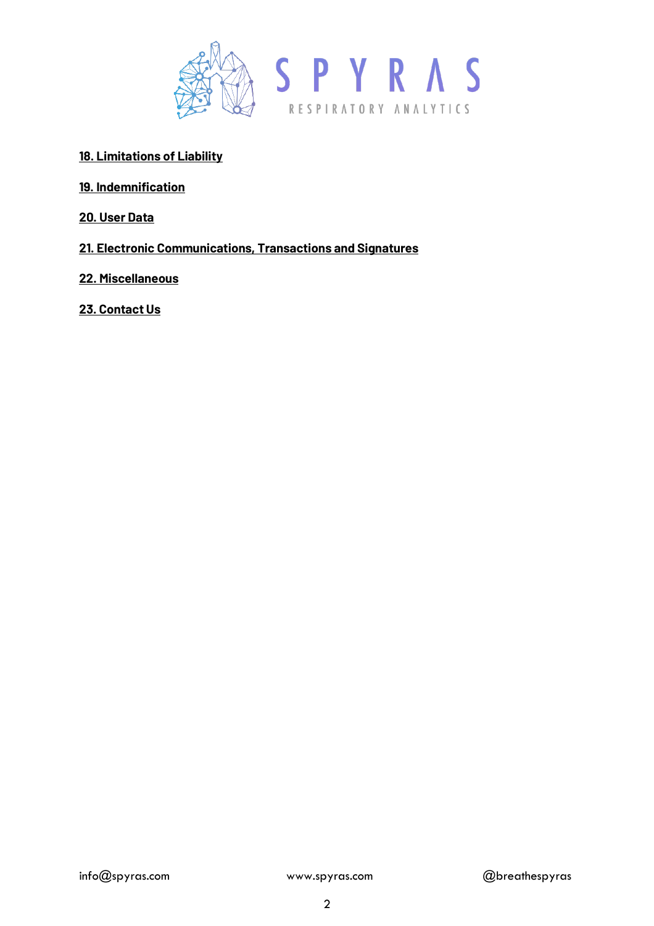

- **18. Limitations of Liability**
- **19. Indemnification**
- **20. User Data**
- **21. Electronic Communications, Transactions and Signatures**
- **22. Miscellaneous**
- **23. Contact Us**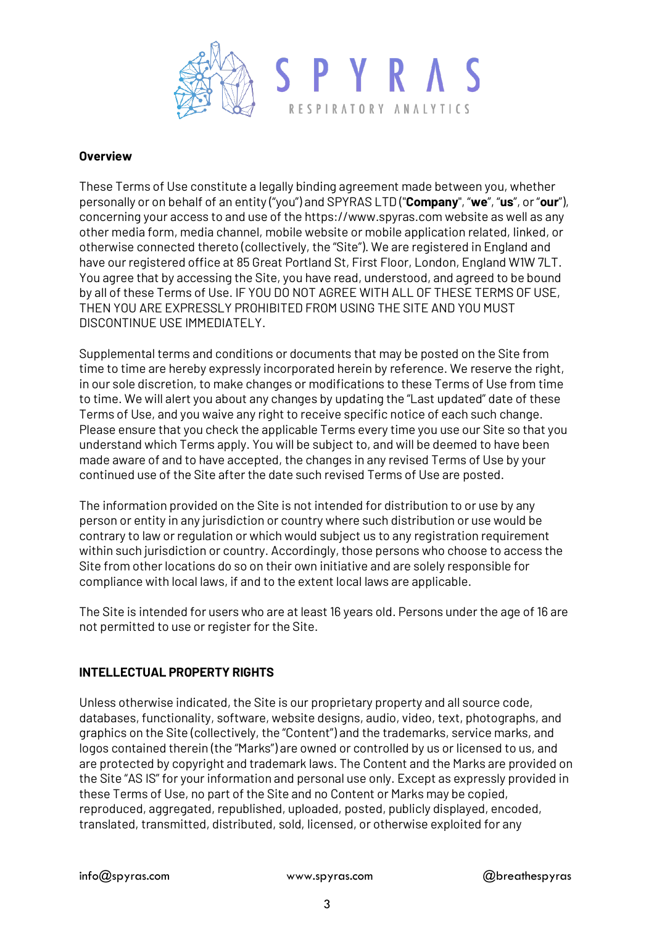

### **Overview**

These Terms of Use constitute a legally binding agreement made between you, whether personally or on behalf of an entity ("you") and SPYRAS LTD ("**Company**", "**we**", "**us**", or "**our**"), concerning your access to and use of the https://www.spyras.com website as well as any other media form, media channel, mobile website or mobile application related, linked, or otherwise connected thereto (collectively, the "Site"). We are registered in England and have our registered office at 85 Great Portland St, First Floor, London, England W1W 7LT. You agree that by accessing the Site, you have read, understood, and agreed to be bound by all of these Terms of Use. IF YOU DO NOT AGREE WITH ALL OF THESE TERMS OF USE, THEN YOU ARE EXPRESSLY PROHIBITED FROM USING THE SITE AND YOU MUST DISCONTINUE USE IMMEDIATELY.

Supplemental terms and conditions or documents that may be posted on the Site from time to time are hereby expressly incorporated herein by reference. We reserve the right, in our sole discretion, to make changes or modifications to these Terms of Use from time to time. We will alert you about any changes by updating the "Last updated" date of these Terms of Use, and you waive any right to receive specific notice of each such change. Please ensure that you check the applicable Terms every time you use our Site so that you understand which Terms apply. You will be subject to, and will be deemed to have been made aware of and to have accepted, the changes in any revised Terms of Use by your continued use of the Site after the date such revised Terms of Use are posted.

The information provided on the Site is not intended for distribution to or use by any person or entity in any jurisdiction or country where such distribution or use would be contrary to law or regulation or which would subject us to any registration requirement within such jurisdiction or country. Accordingly, those persons who choose to access the Site from other locations do so on their own initiative and are solely responsible for compliance with local laws, if and to the extent local laws are applicable.

The Site is intended for users who are at least 16 years old. Persons under the age of 16 are not permitted to use or register for the Site.

### **INTELLECTUAL PROPERTY RIGHTS**

Unless otherwise indicated, the Site is our proprietary property and all source code, databases, functionality, software, website designs, audio, video, text, photographs, and graphics on the Site (collectively, the "Content") and the trademarks, service marks, and logos contained therein (the "Marks") are owned or controlled by us or licensed to us, and are protected by copyright and trademark laws. The Content and the Marks are provided on the Site "AS IS" for your information and personal use only. Except as expressly provided in these Terms of Use, no part of the Site and no Content or Marks may be copied, reproduced, aggregated, republished, uploaded, posted, publicly displayed, encoded, translated, transmitted, distributed, sold, licensed, or otherwise exploited for any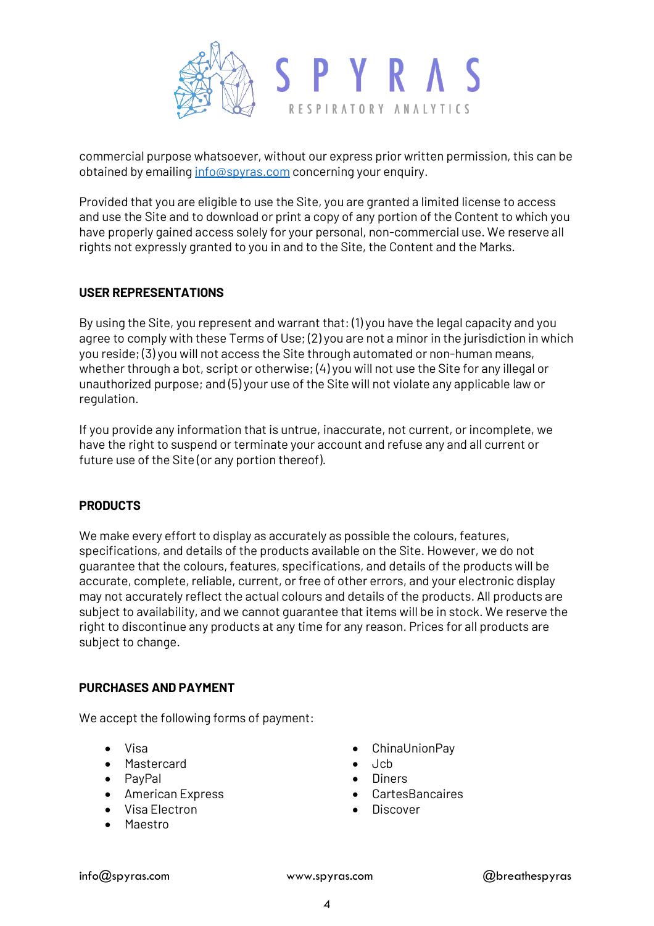

commercial purpose whatsoever, without our express prior written permission, this can be obtained by emailin[g info@spyras.com](mailto:info@spyras.com) concerning your enquiry.

Provided that you are eligible to use the Site, you are granted a limited license to access and use the Site and to download or print a copy of any portion of the Content to which you have properly gained access solely for your personal, non-commercial use. We reserve all rights not expressly granted to you in and to the Site, the Content and the Marks.

## **USER REPRESENTATIONS**

By using the Site, you represent and warrant that: (1) you have the legal capacity and you agree to comply with these Terms of Use; (2) you are not a minor in the jurisdiction in which you reside; (3) you will not access the Site through automated or non-human means, whether through a bot, script or otherwise; (4) you will not use the Site for any illegal or unauthorized purpose; and (5) your use of the Site will not violate any applicable law or regulation.

If you provide any information that is untrue, inaccurate, not current, or incomplete, we have the right to suspend or terminate your account and refuse any and all current or future use of the Site (or any portion thereof).

### **PRODUCTS**

We make every effort to display as accurately as possible the colours, features, specifications, and details of the products available on the Site. However, we do not guarantee that the colours, features, specifications, and details of the products will be accurate, complete, reliable, current, or free of other errors, and your electronic display may not accurately reflect the actual colours and details of the products. All products are subject to availability, and we cannot guarantee that items will be in stock. We reserve the right to discontinue any products at any time for any reason. Prices for all products are subject to change.

### **PURCHASES AND PAYMENT**

We accept the following forms of payment:

- Visa
- Mastercard
- PayPal
- American Express
- Visa Electron
- Maestro
- ChinaUnionPay
- Jcb
- Diners
- CartesBancaires
- Discover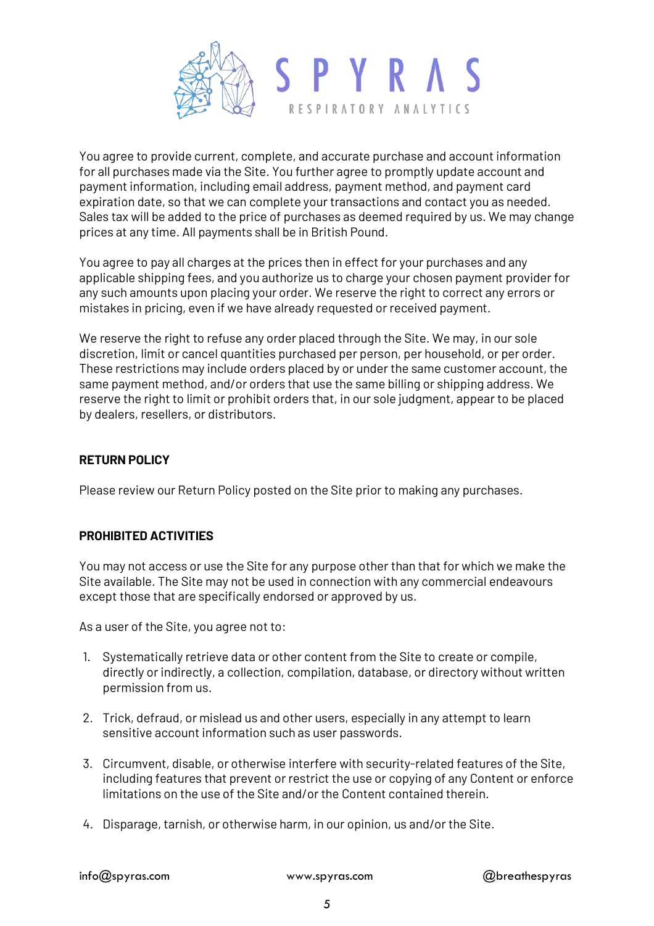

You agree to provide current, complete, and accurate purchase and account information for all purchases made via the Site. You further agree to promptly update account and payment information, including email address, payment method, and payment card expiration date, so that we can complete your transactions and contact you as needed. Sales tax will be added to the price of purchases as deemed required by us. We may change prices at any time. All payments shall be in British Pound.

You agree to pay all charges at the prices then in effect for your purchases and any applicable shipping fees, and you authorize us to charge your chosen payment provider for any such amounts upon placing your order. We reserve the right to correct any errors or mistakes in pricing, even if we have already requested or received payment.

We reserve the right to refuse any order placed through the Site. We may, in our sole discretion, limit or cancel quantities purchased per person, per household, or per order. These restrictions may include orders placed by or under the same customer account, the same payment method, and/or orders that use the same billing or shipping address. We reserve the right to limit or prohibit orders that, in our sole judgment, appear to be placed by dealers, resellers, or distributors.

### **RETURN POLICY**

Please review our Return Policy posted on the Site prior to making any purchases.

# **PROHIBITED ACTIVITIES**

You may not access or use the Site for any purpose other than that for which we make the Site available. The Site may not be used in connection with any commercial endeavours except those that are specifically endorsed or approved by us.

As a user of the Site, you agree not to:

- 1. Systematically retrieve data or other content from the Site to create or compile, directly or indirectly, a collection, compilation, database, or directory without written permission from us.
- 2. Trick, defraud, or mislead us and other users, especially in any attempt to learn sensitive account information such as user passwords.
- 3. Circumvent, disable, or otherwise interfere with security-related features of the Site, including features that prevent or restrict the use or copying of any Content or enforce limitations on the use of the Site and/or the Content contained therein.
- 4. Disparage, tarnish, or otherwise harm, in our opinion, us and/or the Site.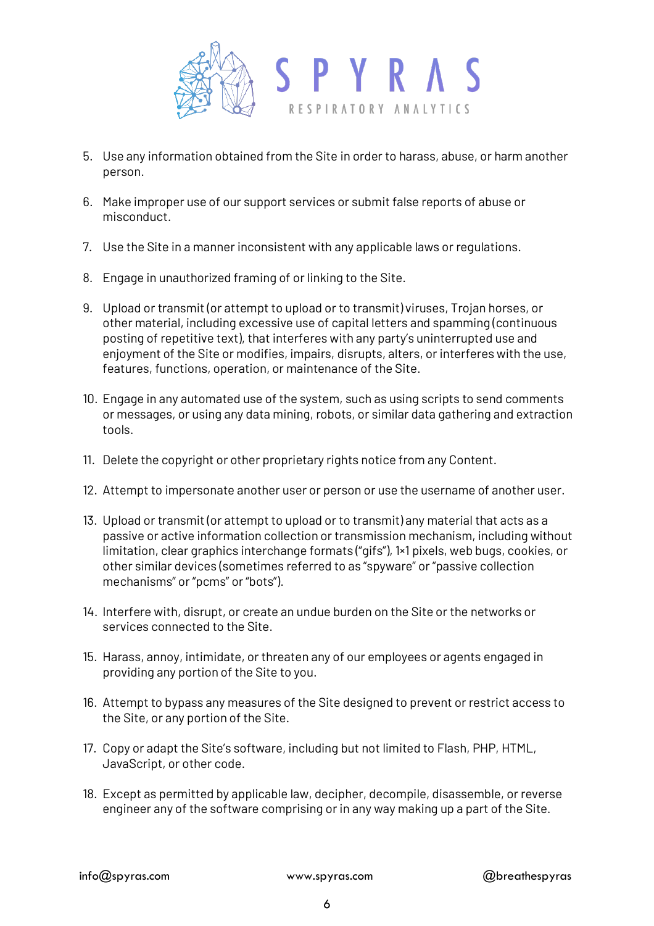

- 5. Use any information obtained from the Site in order to harass, abuse, or harm another person.
- 6. Make improper use of our support services or submit false reports of abuse or misconduct.
- 7. Use the Site in a manner inconsistent with any applicable laws or regulations.
- 8. Engage in unauthorized framing of or linking to the Site.
- 9. Upload or transmit (or attempt to upload or to transmit) viruses, Trojan horses, or other material, including excessive use of capital letters and spamming (continuous posting of repetitive text), that interferes with any party's uninterrupted use and enjoyment of the Site or modifies, impairs, disrupts, alters, or interferes with the use, features, functions, operation, or maintenance of the Site.
- 10. Engage in any automated use of the system, such as using scripts to send comments or messages, or using any data mining, robots, or similar data gathering and extraction tools.
- 11. Delete the copyright or other proprietary rights notice from any Content.
- 12. Attempt to impersonate another user or person or use the username of another user.
- 13. Upload or transmit (or attempt to upload or to transmit) any material that acts as a passive or active information collection or transmission mechanism, including without limitation, clear graphics interchange formats ("gifs"), 1×1 pixels, web bugs, cookies, or other similar devices (sometimes referred to as "spyware" or "passive collection mechanisms" or "pcms" or "bots").
- 14. Interfere with, disrupt, or create an undue burden on the Site or the networks or services connected to the Site.
- 15. Harass, annoy, intimidate, or threaten any of our employees or agents engaged in providing any portion of the Site to you.
- 16. Attempt to bypass any measures of the Site designed to prevent or restrict access to the Site, or any portion of the Site.
- 17. Copy or adapt the Site's software, including but not limited to Flash, PHP, HTML, JavaScript, or other code.
- 18. Except as permitted by applicable law, decipher, decompile, disassemble, or reverse engineer any of the software comprising or in any way making up a part of the Site.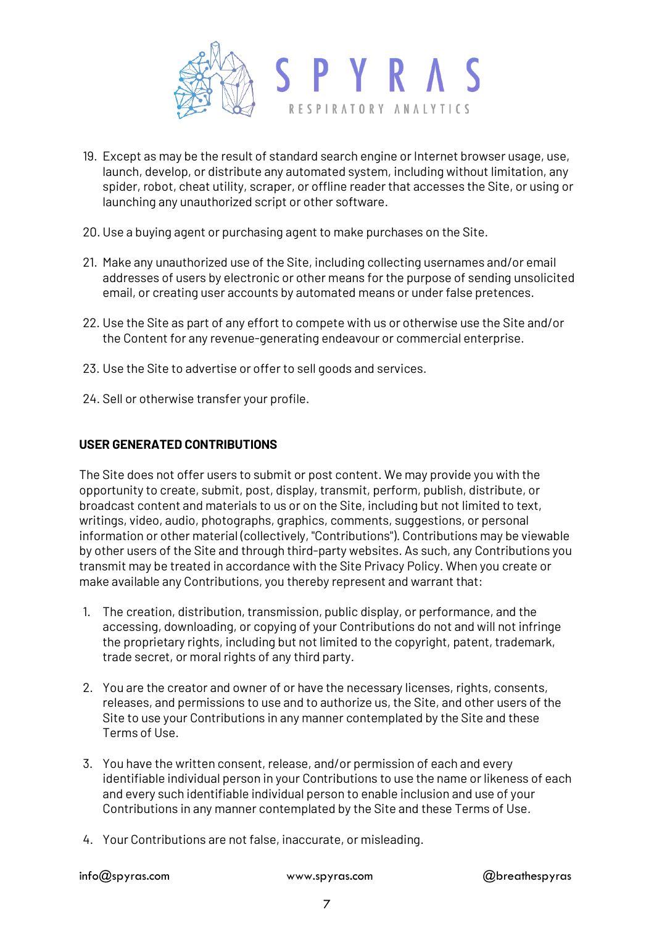

- 19. Except as may be the result of standard search engine or Internet browser usage, use, launch, develop, or distribute any automated system, including without limitation, any spider, robot, cheat utility, scraper, or offline reader that accesses the Site, or using or launching any unauthorized script or other software.
- 20. Use a buying agent or purchasing agent to make purchases on the Site.
- 21. Make any unauthorized use of the Site, including collecting usernames and/or email addresses of users by electronic or other means for the purpose of sending unsolicited email, or creating user accounts by automated means or under false pretences.
- 22. Use the Site as part of any effort to compete with us or otherwise use the Site and/or the Content for any revenue-generating endeavour or commercial enterprise.
- 23. Use the Site to advertise or offer to sell goods and services.
- 24. Sell or otherwise transfer your profile.

# **USER GENERATED CONTRIBUTIONS**

The Site does not offer users to submit or post content. We may provide you with the opportunity to create, submit, post, display, transmit, perform, publish, distribute, or broadcast content and materials to us or on the Site, including but not limited to text, writings, video, audio, photographs, graphics, comments, suggestions, or personal information or other material (collectively, "Contributions"). Contributions may be viewable by other users of the Site and through third-party websites. As such, any Contributions you transmit may be treated in accordance with the Site Privacy Policy. When you create or make available any Contributions, you thereby represent and warrant that:

- 1. The creation, distribution, transmission, public display, or performance, and the accessing, downloading, or copying of your Contributions do not and will not infringe the proprietary rights, including but not limited to the copyright, patent, trademark, trade secret, or moral rights of any third party.
- 2. You are the creator and owner of or have the necessary licenses, rights, consents, releases, and permissions to use and to authorize us, the Site, and other users of the Site to use your Contributions in any manner contemplated by the Site and these Terms of Use.
- 3. You have the written consent, release, and/or permission of each and every identifiable individual person in your Contributions to use the name or likeness of each and every such identifiable individual person to enable inclusion and use of your Contributions in any manner contemplated by the Site and these Terms of Use.
- 4. Your Contributions are not false, inaccurate, or misleading.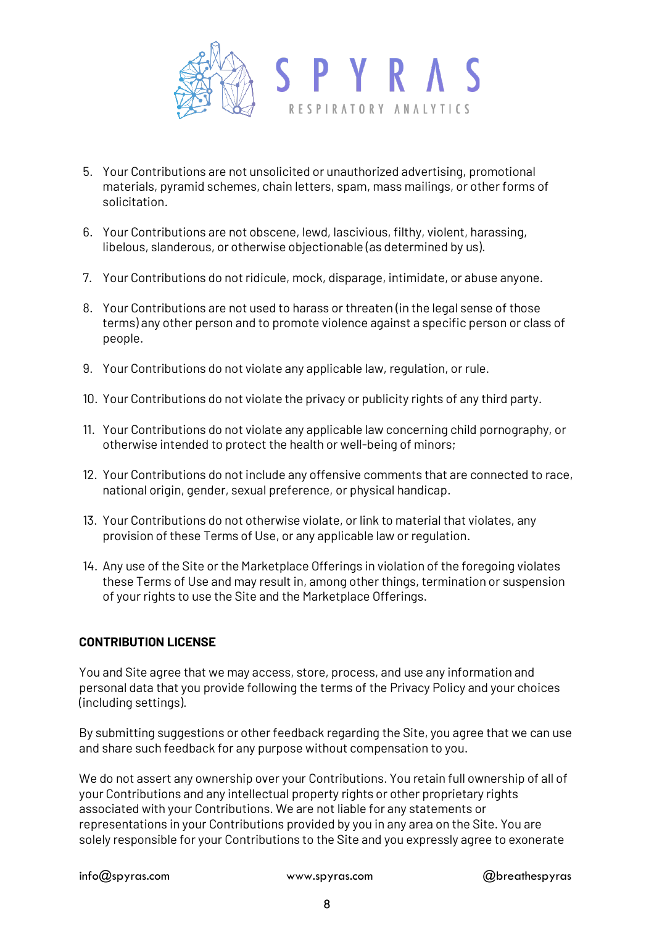

- 5. Your Contributions are not unsolicited or unauthorized advertising, promotional materials, pyramid schemes, chain letters, spam, mass mailings, or other forms of solicitation.
- 6. Your Contributions are not obscene, lewd, lascivious, filthy, violent, harassing, libelous, slanderous, or otherwise objectionable (as determined by us).
- 7. Your Contributions do not ridicule, mock, disparage, intimidate, or abuse anyone.
- 8. Your Contributions are not used to harass or threaten (in the legal sense of those terms) any other person and to promote violence against a specific person or class of people.
- 9. Your Contributions do not violate any applicable law, regulation, or rule.
- 10. Your Contributions do not violate the privacy or publicity rights of any third party.
- 11. Your Contributions do not violate any applicable law concerning child pornography, or otherwise intended to protect the health or well-being of minors;
- 12. Your Contributions do not include any offensive comments that are connected to race, national origin, gender, sexual preference, or physical handicap.
- 13. Your Contributions do not otherwise violate, or link to material that violates, any provision of these Terms of Use, or any applicable law or regulation.
- 14. Any use of the Site or the Marketplace Offerings in violation of the foregoing violates these Terms of Use and may result in, among other things, termination or suspension of your rights to use the Site and the Marketplace Offerings.

#### **CONTRIBUTION LICENSE**

You and Site agree that we may access, store, process, and use any information and personal data that you provide following the terms of the Privacy Policy and your choices (including settings).

By submitting suggestions or other feedback regarding the Site, you agree that we can use and share such feedback for any purpose without compensation to you.

We do not assert any ownership over your Contributions. You retain full ownership of all of your Contributions and any intellectual property rights or other proprietary rights associated with your Contributions. We are not liable for any statements or representations in your Contributions provided by you in any area on the Site. You are solely responsible for your Contributions to the Site and you expressly agree to exonerate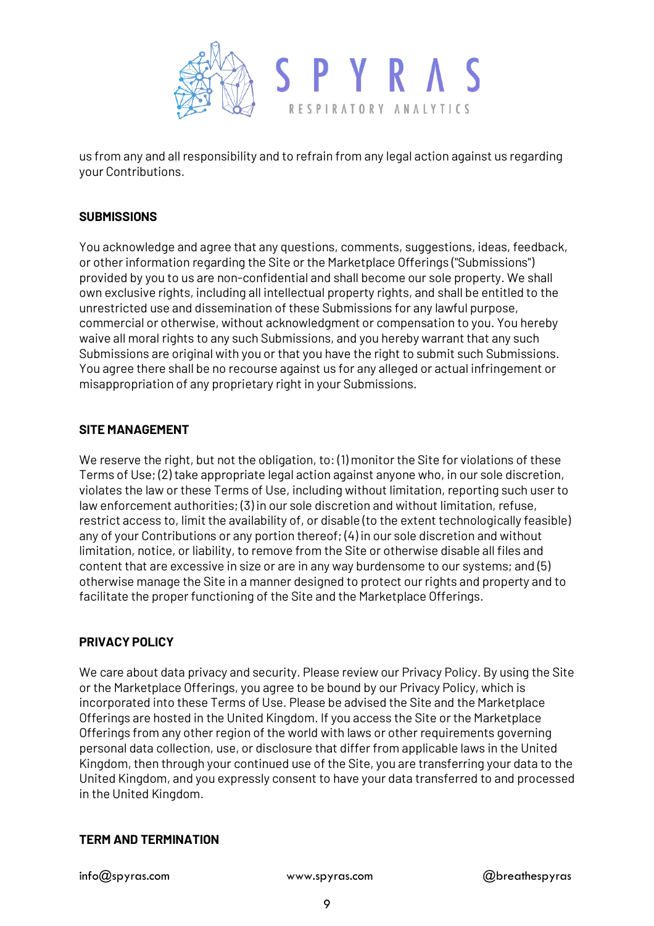

us from any and all responsibility and to refrain from any legal action against us regarding your Contributions.

### **SUBMISSIONS**

You acknowledge and agree that any questions, comments, suggestions, ideas, feedback, or other information regarding the Site or the Marketplace Offerings ("Submissions") provided by you to us are non-confidential and shall become our sole property. We shall own exclusive rights, including all intellectual property rights, and shall be entitled to the unrestricted use and dissemination of these Submissions for any lawful purpose, commercial or otherwise, without acknowledgment or compensation to you. You hereby waive all moral rights to any such Submissions, and you hereby warrant that any such Submissions are original with you or that you have the right to submit such Submissions. You agree there shall be no recourse against us for any alleged or actual infringement or misappropriation of any proprietary right in your Submissions.

## **SITE MANAGEMENT**

We reserve the right, but not the obligation, to: (1) monitor the Site for violations of these Terms of Use; (2) take appropriate legal action against anyone who, in our sole discretion, violates the law or these Terms of Use, including without limitation, reporting such user to law enforcement authorities; (3) in our sole discretion and without limitation, refuse, restrict access to, limit the availability of, or disable (to the extent technologically feasible) any of your Contributions or any portion thereof; (4) in our sole discretion and without limitation, notice, or liability, to remove from the Site or otherwise disable all files and content that are excessive in size or are in any way burdensome to our systems; and (5) otherwise manage the Site in a manner designed to protect our rights and property and to facilitate the proper functioning of the Site and the Marketplace Offerings.

### **PRIVACY POLICY**

We care about data privacy and security. Please review our Privacy Policy. By using the Site or the Marketplace Offerings, you agree to be bound by our Privacy Policy, which is incorporated into these Terms of Use. Please be advised the Site and the Marketplace Offerings are hosted in the United Kingdom. If you access the Site or the Marketplace Offerings from any other region of the world with laws or other requirements governing personal data collection, use, or disclosure that differ from applicable laws in the United Kingdom, then through your continued use of the Site, you are transferring your data to the United Kingdom, and you expressly consent to have your data transferred to and processed in the United Kingdom.

### **TERM AND TERMINATION**

info@spyras.com www.spyras.com @breathespyras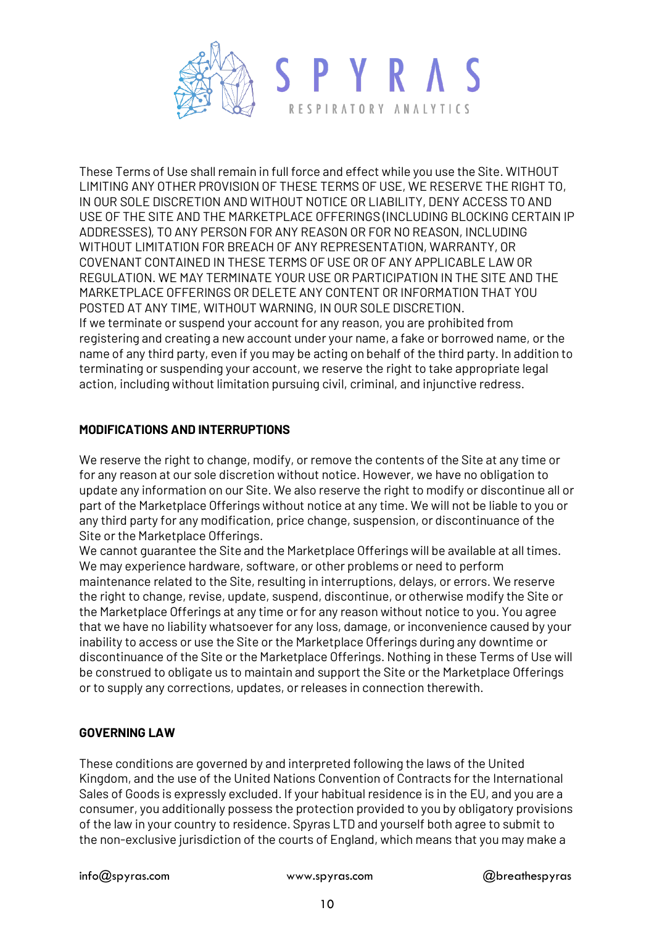

These Terms of Use shall remain in full force and effect while you use the Site. WITHOUT LIMITING ANY OTHER PROVISION OF THESE TERMS OF USE, WE RESERVE THE RIGHT TO, IN OUR SOLE DISCRETION AND WITHOUT NOTICE OR LIABILITY, DENY ACCESS TO AND USE OF THE SITE AND THE MARKETPLACE OFFERINGS (INCLUDING BLOCKING CERTAIN IP ADDRESSES), TO ANY PERSON FOR ANY REASON OR FOR NO REASON, INCLUDING WITHOUT LIMITATION FOR BREACH OF ANY REPRESENTATION, WARRANTY, OR COVENANT CONTAINED IN THESE TERMS OF USE OR OF ANY APPLICABLE LAW OR REGULATION. WE MAY TERMINATE YOUR USE OR PARTICIPATION IN THE SITE AND THE MARKETPLACE OFFERINGS OR DELETE ANY CONTENT OR INFORMATION THAT YOU POSTED AT ANY TIME, WITHOUT WARNING, IN OUR SOLE DISCRETION. If we terminate or suspend your account for any reason, you are prohibited from registering and creating a new account under your name, a fake or borrowed name, or the name of any third party, even if you may be acting on behalf of the third party. In addition to terminating or suspending your account, we reserve the right to take appropriate legal action, including without limitation pursuing civil, criminal, and injunctive redress.

# **MODIFICATIONS AND INTERRUPTIONS**

We reserve the right to change, modify, or remove the contents of the Site at any time or for any reason at our sole discretion without notice. However, we have no obligation to update any information on our Site. We also reserve the right to modify or discontinue all or part of the Marketplace Offerings without notice at any time. We will not be liable to you or any third party for any modification, price change, suspension, or discontinuance of the Site or the Marketplace Offerings.

We cannot guarantee the Site and the Marketplace Offerings will be available at all times. We may experience hardware, software, or other problems or need to perform maintenance related to the Site, resulting in interruptions, delays, or errors. We reserve the right to change, revise, update, suspend, discontinue, or otherwise modify the Site or the Marketplace Offerings at any time or for any reason without notice to you. You agree that we have no liability whatsoever for any loss, damage, or inconvenience caused by your inability to access or use the Site or the Marketplace Offerings during any downtime or discontinuance of the Site or the Marketplace Offerings. Nothing in these Terms of Use will be construed to obligate us to maintain and support the Site or the Marketplace Offerings or to supply any corrections, updates, or releases in connection therewith.

### **GOVERNING LAW**

These conditions are governed by and interpreted following the laws of the United Kingdom, and the use of the United Nations Convention of Contracts for the International Sales of Goods is expressly excluded. If your habitual residence is in the EU, and you are a consumer, you additionally possess the protection provided to you by obligatory provisions of the law in your country to residence. Spyras LTD and yourself both agree to submit to the non-exclusive jurisdiction of the courts of England, which means that you may make a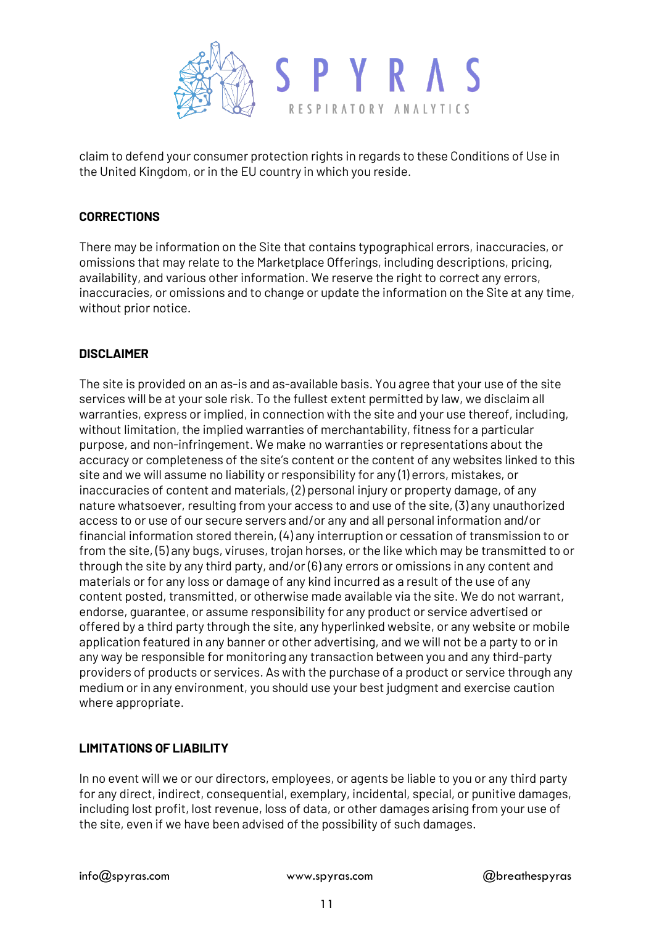

claim to defend your consumer protection rights in regards to these Conditions of Use in the United Kingdom, or in the EU country in which you reside.

### **CORRECTIONS**

There may be information on the Site that contains typographical errors, inaccuracies, or omissions that may relate to the Marketplace Offerings, including descriptions, pricing, availability, and various other information. We reserve the right to correct any errors, inaccuracies, or omissions and to change or update the information on the Site at any time, without prior notice.

### **DISCLAIMER**

The site is provided on an as-is and as-available basis. You agree that your use of the site services will be at your sole risk. To the fullest extent permitted by law, we disclaim all warranties, express or implied, in connection with the site and your use thereof, including, without limitation, the implied warranties of merchantability, fitness for a particular purpose, and non-infringement. We make no warranties or representations about the accuracy or completeness of the site's content or the content of any websites linked to this site and we will assume no liability or responsibility for any (1) errors, mistakes, or inaccuracies of content and materials, (2) personal injury or property damage, of any nature whatsoever, resulting from your access to and use of the site, (3) any unauthorized access to or use of our secure servers and/or any and all personal information and/or financial information stored therein, (4) any interruption or cessation of transmission to or from the site, (5) any bugs, viruses, trojan horses, or the like which may be transmitted to or through the site by any third party, and/or (6) any errors or omissions in any content and materials or for any loss or damage of any kind incurred as a result of the use of any content posted, transmitted, or otherwise made available via the site. We do not warrant, endorse, guarantee, or assume responsibility for any product or service advertised or offered by a third party through the site, any hyperlinked website, or any website or mobile application featured in any banner or other advertising, and we will not be a party to or in any way be responsible for monitoring any transaction between you and any third-party providers of products or services. As with the purchase of a product or service through any medium or in any environment, you should use your best judgment and exercise caution where appropriate.

### **LIMITATIONS OF LIABILITY**

In no event will we or our directors, employees, or agents be liable to you or any third party for any direct, indirect, consequential, exemplary, incidental, special, or punitive damages, including lost profit, lost revenue, loss of data, or other damages arising from your use of the site, even if we have been advised of the possibility of such damages.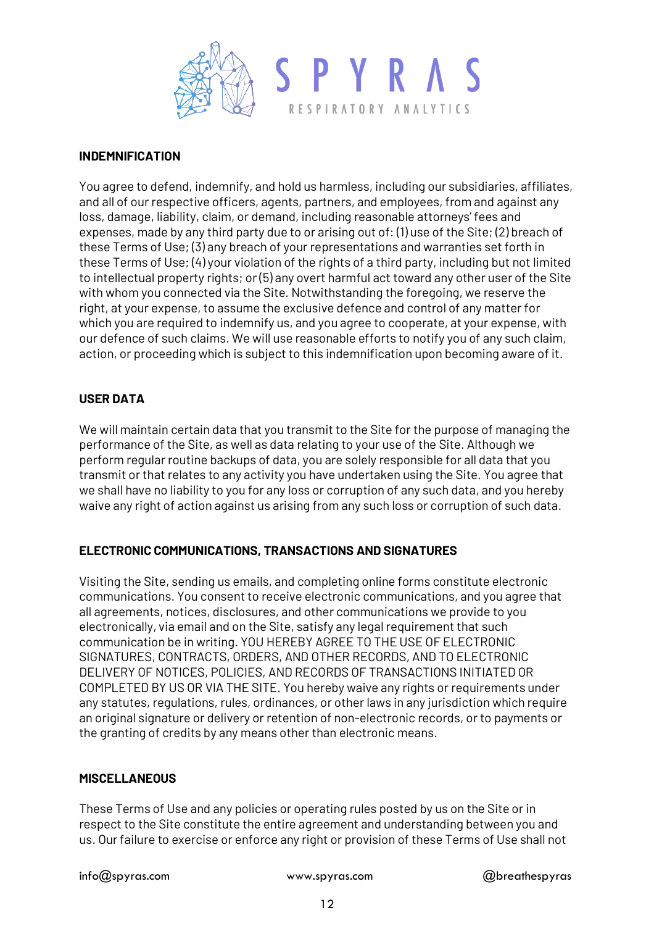

### **INDEMNIFICATION**

You agree to defend, indemnify, and hold us harmless, including our subsidiaries, affiliates, and all of our respective officers, agents, partners, and employees, from and against any loss, damage, liability, claim, or demand, including reasonable attorneys' fees and expenses, made by any third party due to or arising out of: (1) use of the Site; (2) breach of these Terms of Use; (3) any breach of your representations and warranties set forth in these Terms of Use; (4) your violation of the rights of a third party, including but not limited to intellectual property rights; or (5) any overt harmful act toward any other user of the Site with whom you connected via the Site. Notwithstanding the foregoing, we reserve the right, at your expense, to assume the exclusive defence and control of any matter for which you are required to indemnify us, and you agree to cooperate, at your expense, with our defence of such claims. We will use reasonable efforts to notify you of any such claim, action, or proceeding which is subject to this indemnification upon becoming aware of it.

### **USER DATA**

We will maintain certain data that you transmit to the Site for the purpose of managing the performance of the Site, as well as data relating to your use of the Site. Although we perform regular routine backups of data, you are solely responsible for all data that you transmit or that relates to any activity you have undertaken using the Site. You agree that we shall have no liability to you for any loss or corruption of any such data, and you hereby waive any right of action against us arising from any such loss or corruption of such data.

### **ELECTRONIC COMMUNICATIONS, TRANSACTIONS AND SIGNATURES**

Visiting the Site, sending us emails, and completing online forms constitute electronic communications. You consent to receive electronic communications, and you agree that all agreements, notices, disclosures, and other communications we provide to you electronically, via email and on the Site, satisfy any legal requirement that such communication be in writing. YOU HEREBY AGREE TO THE USE OF ELECTRONIC SIGNATURES, CONTRACTS, ORDERS, AND OTHER RECORDS, AND TO ELECTRONIC DELIVERY OF NOTICES, POLICIES, AND RECORDS OF TRANSACTIONS INITIATED OR COMPLETED BY US OR VIA THE SITE. You hereby waive any rights or requirements under any statutes, regulations, rules, ordinances, or other laws in any jurisdiction which require an original signature or delivery or retention of non-electronic records, or to payments or the granting of credits by any means other than electronic means.

#### **MISCELLANEOUS**

These Terms of Use and any policies or operating rules posted by us on the Site or in respect to the Site constitute the entire agreement and understanding between you and us. Our failure to exercise or enforce any right or provision of these Terms of Use shall not